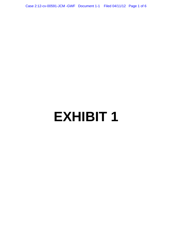Case 2:12-cv-00591-JCM -GWF Document 1-1 Filed 04/11/12 Page 1 of 6

# **EXHIBIT 1**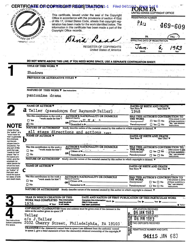|                                                                       | CERTIFICATE OF2COPVEIGHT REGISTRATION 1-1<br><b>Filed 04/11</b><br>COPYRIC<br>This certificate, issued under the seal of the Copyright            |                                                                                                                                                                                                                                                                                        | ED STATES COPYRIGHT OFFICE<br><b>REGISTRATION NUMBER</b>                                                                                                                                                                             |  |  |  |
|-----------------------------------------------------------------------|---------------------------------------------------------------------------------------------------------------------------------------------------|----------------------------------------------------------------------------------------------------------------------------------------------------------------------------------------------------------------------------------------------------------------------------------------|--------------------------------------------------------------------------------------------------------------------------------------------------------------------------------------------------------------------------------------|--|--|--|
|                                                                       |                                                                                                                                                   |                                                                                                                                                                                                                                                                                        |                                                                                                                                                                                                                                      |  |  |  |
|                                                                       |                                                                                                                                                   | Office in accordance with the provisions of section $410(a)$<br>of title 17, United States Code, attests that copyright reg-<br>istration has been made for the work identified below. The<br>information in this certificate has been made a part of the<br>Copyright Office records. | $P_{A11}$                                                                                                                                                                                                                            |  |  |  |
| <b>a UNITED</b>                                                       |                                                                                                                                                   |                                                                                                                                                                                                                                                                                        | $469 - 609$                                                                                                                                                                                                                          |  |  |  |
|                                                                       | ARARY OF CONCR                                                                                                                                    |                                                                                                                                                                                                                                                                                        | PA<br>PAU                                                                                                                                                                                                                            |  |  |  |
|                                                                       | OFFICIAL SEAL                                                                                                                                     |                                                                                                                                                                                                                                                                                        | DATE OF REGISTRATION                                                                                                                                                                                                                 |  |  |  |
|                                                                       |                                                                                                                                                   | <b>REGISTER OF COPYRIGHTS</b><br><b>United States of America</b>                                                                                                                                                                                                                       | Month<br>Day                                                                                                                                                                                                                         |  |  |  |
|                                                                       |                                                                                                                                                   |                                                                                                                                                                                                                                                                                        |                                                                                                                                                                                                                                      |  |  |  |
|                                                                       |                                                                                                                                                   | DO NOT WRITE ABOVE THIS LINE. IF YOU NEED MORE SPACE, USE A SEPARATE CONTINUATION SHEET.                                                                                                                                                                                               |                                                                                                                                                                                                                                      |  |  |  |
|                                                                       | TITLE OF THIS WORK $\blacktriangledown$                                                                                                           |                                                                                                                                                                                                                                                                                        |                                                                                                                                                                                                                                      |  |  |  |
|                                                                       | Shadows                                                                                                                                           |                                                                                                                                                                                                                                                                                        |                                                                                                                                                                                                                                      |  |  |  |
|                                                                       | <b>PREVIOUS OR ALTERNATIVE TITLES V</b>                                                                                                           |                                                                                                                                                                                                                                                                                        |                                                                                                                                                                                                                                      |  |  |  |
|                                                                       |                                                                                                                                                   |                                                                                                                                                                                                                                                                                        |                                                                                                                                                                                                                                      |  |  |  |
|                                                                       |                                                                                                                                                   |                                                                                                                                                                                                                                                                                        |                                                                                                                                                                                                                                      |  |  |  |
|                                                                       | NATURE OF THIS WORK <b>V</b> See instructions                                                                                                     |                                                                                                                                                                                                                                                                                        |                                                                                                                                                                                                                                      |  |  |  |
|                                                                       | pantomime drama                                                                                                                                   |                                                                                                                                                                                                                                                                                        |                                                                                                                                                                                                                                      |  |  |  |
|                                                                       |                                                                                                                                                   |                                                                                                                                                                                                                                                                                        |                                                                                                                                                                                                                                      |  |  |  |
|                                                                       | <b>NAME OF AUTHOR V</b>                                                                                                                           |                                                                                                                                                                                                                                                                                        | DATES OF BIRTH AND DEATH                                                                                                                                                                                                             |  |  |  |
|                                                                       | a                                                                                                                                                 | Teller (pseudonym for Raymond-Teller)                                                                                                                                                                                                                                                  | Year Born ▼<br>Year Died ▼<br>1948                                                                                                                                                                                                   |  |  |  |
|                                                                       | Was this contribution to the work a                                                                                                               | <b>AUTHOR'S NATIONALITY OR DOMICILE</b>                                                                                                                                                                                                                                                | <b>WAS THIS AUTHOR'S CONTRIBUTION</b>                                                                                                                                                                                                |  |  |  |
|                                                                       | "work made for hire"?<br>$\square$ Yes                                                                                                            | Name of Country<br>Citizen of                                                                                                                                                                                                                                                          | THE WORK<br>If the answer to eith<br>$\square$ Yes $\square$ No<br>of these questions i<br>Anonymous?                                                                                                                                |  |  |  |
| NOIE                                                                  | XI No                                                                                                                                             | OR<br>Domiciled in $\blacktriangleright$                                                                                                                                                                                                                                               | "Yes," see detailed<br>Pseudonymous?<br>$\Box$ Yes $\Box$ No<br>instructions.                                                                                                                                                        |  |  |  |
| Under the law.                                                        | NATURE OF AUTHORSHIP Briefly describe nature of the material created by this author in which copyright is claimed.                                |                                                                                                                                                                                                                                                                                        |                                                                                                                                                                                                                                      |  |  |  |
| the 'author' of a<br>"work made for                                   | all stage directions and actions text<br><b>NAME OF AUTHOR V</b>                                                                                  |                                                                                                                                                                                                                                                                                        |                                                                                                                                                                                                                                      |  |  |  |
| hire" is generally<br>the employer,<br>not the em-<br>ployee (see in- | ש                                                                                                                                                 |                                                                                                                                                                                                                                                                                        | DATES OF BIRTH AND DEATH<br>Year Born $\blacktriangledown$<br>Year Died ▼                                                                                                                                                            |  |  |  |
| structions). For<br>any part of this                                  | Was this contribution to the work a                                                                                                               | <b>AUTHOR'S NATIONALITY OR DOMICILE</b><br>Name of country                                                                                                                                                                                                                             | WAS THIS AUTHOR'S CONTRIBUTION TO                                                                                                                                                                                                    |  |  |  |
| work that was<br>"made for hire"                                      | "work made for hire"?<br>$\Box$ Yes                                                                                                               | Citizen of $\blacktriangleright$ .<br>OR                                                                                                                                                                                                                                               | $\sim$ THE WORK<br>∴ it the answer to éith<br>$\Box$ Yes $\Box$ No<br>- Anonymous?<br>- of these questions:                                                                                                                          |  |  |  |
| check "Yes" in<br>the space pro-                                      | $\Box$ No                                                                                                                                         | Domiciled in $\blacktriangleright$ -                                                                                                                                                                                                                                                   | "Yes," see detailed-<br>Pseudonymous?<br>$\Box$ Yes $\Box$ No<br>instructions.                                                                                                                                                       |  |  |  |
| vided, give the<br>employer (or                                       | <b>NATURE OF AUTHORSHIP</b><br>Briefly describe nature of the material created by this author in which copyright is claimed. $\blacktriangledown$ |                                                                                                                                                                                                                                                                                        |                                                                                                                                                                                                                                      |  |  |  |
| other person for<br>whom the work                                     | <b>NAME OF AUTHOR V</b>                                                                                                                           |                                                                                                                                                                                                                                                                                        | DATES OF BIRTH AND DEATH                                                                                                                                                                                                             |  |  |  |
| was prepared)<br>as "Author" of                                       |                                                                                                                                                   |                                                                                                                                                                                                                                                                                        | Year Born ▼<br>Year Died <b>V</b>                                                                                                                                                                                                    |  |  |  |
| that part, and<br>leave the space                                     | Was this contribution to the work a                                                                                                               |                                                                                                                                                                                                                                                                                        |                                                                                                                                                                                                                                      |  |  |  |
| for dates of birth<br>and death blank.                                | "work made for hire"?<br>$\square$ Yes                                                                                                            | <b>AUTHOR'S NATIONALITY OR DOMICILE</b><br>Name of Country<br>Citizen of <b>D</b><br>Citizen of <b>D</b>                                                                                                                                                                               | WAS THIS AUTHOR'S CONTRIBUTION TO<br>THE WORK<br>If the answer to either                                                                                                                                                             |  |  |  |
|                                                                       | $\Box$ No                                                                                                                                         | OR.<br>Domiciled in $\blacktriangleright$ Pseudonymous?                                                                                                                                                                                                                                | $\square$ Yes $\square$ No<br>of these questions is<br>"Yes," see detailed<br>$\square$ Yes $\square$ No                                                                                                                             |  |  |  |
|                                                                       | NATURE OF AUTHORSHIP                                                                                                                              | Briefly describe nature of the material created by this author in which copyright is claimed. $\blacktriangledown$                                                                                                                                                                     | instructions.                                                                                                                                                                                                                        |  |  |  |
|                                                                       |                                                                                                                                                   |                                                                                                                                                                                                                                                                                        |                                                                                                                                                                                                                                      |  |  |  |
|                                                                       | YEAR IN WHICH CREATION OF THIS                                                                                                                    |                                                                                                                                                                                                                                                                                        | DATE AND NATION OF FIRST PUBLICATION OF THIS PARTICULAR WORK                                                                                                                                                                         |  |  |  |
|                                                                       | <b>WORK WAS COMPLETED This information</b><br>1976<br>◀ Year                                                                                      | Complete this information $M$ <sub>onth</sub><br>must be alven<br>ONLY If this work<br>in all cases.                                                                                                                                                                                   | $\Box$ Day $\blacktriangleright$ $\Box$ Year $\blacktriangleright$                                                                                                                                                                   |  |  |  |
|                                                                       |                                                                                                                                                   | has been published.<br>COPYRIGHT CLAIMANT(S) Name and address must be given even if the claimant is the                                                                                                                                                                                | <b>Nation</b><br>APPLICATION RECEIVED                                                                                                                                                                                                |  |  |  |
|                                                                       | same as the author given in space $2.\nabla$                                                                                                      |                                                                                                                                                                                                                                                                                        | <b>06 JAN 1983</b>                                                                                                                                                                                                                   |  |  |  |
|                                                                       | Teller                                                                                                                                            |                                                                                                                                                                                                                                                                                        | <b>EL UNITED</b><br>HELOWEDEPOSIT RECEIVED                                                                                                                                                                                           |  |  |  |
| See instructions                                                      | c/o J. Teller                                                                                                                                     |                                                                                                                                                                                                                                                                                        |                                                                                                                                                                                                                                      |  |  |  |
| before completing<br>this space.                                      |                                                                                                                                                   | 2032 Cherry Street, Philadelphia, PA 19103                                                                                                                                                                                                                                             | <b>EN THE CONTRACT SECTION OF STATE SUBJECT OF STATE SUBJECT OF STATE SUBJECT OF STATE SUBJECT OF STATE SUBJECT OF STATE SUBJECT OF STATE SUBJECT OF STATE SUBJECT OF STATE SUBJECT OF STATE SUBJECT OF STATE SUBJECT OF STATE S</b> |  |  |  |
|                                                                       |                                                                                                                                                   | TRANSFER If the claimant(s) named here in space 4 are different from the author(s) named<br>in space 2, give a brief statement of how the claimant(s) obtained ownership of the copyright.                                                                                             |                                                                                                                                                                                                                                      |  |  |  |
|                                                                       |                                                                                                                                                   |                                                                                                                                                                                                                                                                                        |                                                                                                                                                                                                                                      |  |  |  |
|                                                                       |                                                                                                                                                   |                                                                                                                                                                                                                                                                                        | gō<br>a<br><b>94115 JAN 683</b>                                                                                                                                                                                                      |  |  |  |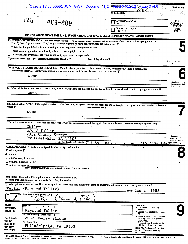|                                                | Case 2:12-cv-00591-JCM -GWF Document 1-1                                                                                                                                                                                                | <b>SPYNANE TOP4/</b><br>$1/12$ Page 3 of 6                                                                                                                            | <b>FORM PA</b>                             |
|------------------------------------------------|-----------------------------------------------------------------------------------------------------------------------------------------------------------------------------------------------------------------------------------------|-----------------------------------------------------------------------------------------------------------------------------------------------------------------------|--------------------------------------------|
|                                                |                                                                                                                                                                                                                                         | CHECKED BY                                                                                                                                                            |                                            |
|                                                | PAu<br>$469 - 609$                                                                                                                                                                                                                      | CORRESPONDENCE<br>Yes                                                                                                                                                 | FOR:<br><b>COPYRIGHT</b>                   |
|                                                |                                                                                                                                                                                                                                         | DEPOSIT ACCOUNT<br><b>FUNDS USED</b>                                                                                                                                  | <b>OFFICE</b><br><b>USE</b><br><b>ONLY</b> |
|                                                | DO NOT WRITE ABOVE THIS LINE. IF YOU NEED MORE SPACE, USE A SEPARATE CONTINUATION SHEET.                                                                                                                                                |                                                                                                                                                                       |                                            |
|                                                | PREVIOUS REGISTRATION Has registration for this work, or for an earlier version of this work, already been made in the Copyright Office?                                                                                                |                                                                                                                                                                       |                                            |
|                                                | $\Box$ Yes $\Box$ No If your answer is "Yes," why is another registration being sought? (Check appropriate box) $\blacktriangledown$<br>$\Box$ This is the first published edition of a work previously registered in unpublished form. |                                                                                                                                                                       |                                            |
|                                                | $\Box$ This is the first application submitted by this author as copyright claimant.                                                                                                                                                    |                                                                                                                                                                       |                                            |
|                                                | $\Box$ This is a changed version of the work, as shown by space 6 on this application.                                                                                                                                                  |                                                                                                                                                                       |                                            |
|                                                | If your answer is "Yes," give: Previous Registration Number ▼                                                                                                                                                                           | Year of Registration $\nabla$ .                                                                                                                                       |                                            |
|                                                |                                                                                                                                                                                                                                         |                                                                                                                                                                       |                                            |
|                                                | DERIVATIVE WORK OR COMPILATION Complete both space 6a & 6b for a derivative work; complete only 6b for a compilation.<br>a. Preexisting Material Identify any preexisting work or works that this work is based on or incorporates.     |                                                                                                                                                                       |                                            |
|                                                | none                                                                                                                                                                                                                                    |                                                                                                                                                                       |                                            |
|                                                |                                                                                                                                                                                                                                         |                                                                                                                                                                       | See instructions                           |
|                                                |                                                                                                                                                                                                                                         |                                                                                                                                                                       | before completir<br>this space.            |
|                                                | Material Added to This Work Give a brief, general statement of the material that has been added to this work and in which copyright is claimed.                                                                                         |                                                                                                                                                                       |                                            |
|                                                | none                                                                                                                                                                                                                                    |                                                                                                                                                                       |                                            |
|                                                |                                                                                                                                                                                                                                         |                                                                                                                                                                       |                                            |
| Name $\Psi$                                    | none                                                                                                                                                                                                                                    | DEPOSIT ACCOUNT If the registration fee is to be charged to a Deposit Account established in the Copyright Office, give name and number of Account.<br>Account Number |                                            |
|                                                | CORRESPONDENCE Give name and address to which correspondence about this application should be sent. Name/Address/Apt/City/State/Zip ▼<br>Teller                                                                                         |                                                                                                                                                                       |                                            |
|                                                | c/o J. Teller                                                                                                                                                                                                                           |                                                                                                                                                                       |                                            |
|                                                | 2032 Cherry Street                                                                                                                                                                                                                      |                                                                                                                                                                       |                                            |
|                                                | Philadelphia, PA 19103                                                                                                                                                                                                                  |                                                                                                                                                                       | Be sure ta<br>give your                    |
|                                                |                                                                                                                                                                                                                                         | Area Code & Telephone Number > $714-891-0602$ or messeage $215-568-1194$                                                                                              |                                            |
| <b>CERTIFICATION*</b><br>Check only one $\Psi$ | I, the undersigned, hereby certify that I am the                                                                                                                                                                                        |                                                                                                                                                                       |                                            |
| X author                                       |                                                                                                                                                                                                                                         |                                                                                                                                                                       |                                            |
| $\Box$ other copyright claimant                |                                                                                                                                                                                                                                         |                                                                                                                                                                       |                                            |
| $\Box$ owner of exclusive right(s)             |                                                                                                                                                                                                                                         |                                                                                                                                                                       |                                            |
| $\square$ authorized agent of                  | Name of author or other copyright claimant, or owner of exclusive right(s) A                                                                                                                                                            |                                                                                                                                                                       |                                            |
|                                                |                                                                                                                                                                                                                                         |                                                                                                                                                                       |                                            |
|                                                | of the work identified in this application and that the statements made<br>by me in this application are correct to the best of my knowledge.                                                                                           |                                                                                                                                                                       |                                            |
|                                                | Typed or printed name and date $\Psi$ If this is a published work, this date must be the same as or later than the date of publication given in space 3.                                                                                |                                                                                                                                                                       |                                            |
| Teller                                         | (Raymond Teller)                                                                                                                                                                                                                        | date $\triangleright$ $\text{Jan}$ 2<br>1983                                                                                                                          |                                            |
|                                                | Handwritten signature $(X)$<br>Raymond Telle                                                                                                                                                                                            |                                                                                                                                                                       |                                            |
| <b>MAIL</b>                                    | Name $\blacktriangledown$                                                                                                                                                                                                               | Have you:                                                                                                                                                             |                                            |
| <b>CERTIFI-</b>                                | 活配子手<br>Raymond Teller                                                                                                                                                                                                                  | • Completed all necessary<br>spaces?                                                                                                                                  |                                            |
| <b>CATE TO</b>                                 | Number/Street/Apartment Number                                                                                                                                                                                                          | • Signed your application in space<br>87                                                                                                                              |                                            |
| <b>Certificate</b>                             | 2032 Cherry Street                                                                                                                                                                                                                      | • Enclosed check or money order<br>for \$10 payable to Register of                                                                                                    |                                            |
| will be<br>mailed in<br>window                 | City/State/ZIP<br>Philadelphia, PA 19103                                                                                                                                                                                                | Copyrights?<br>· Enclosed your deposit material<br>with the application and fee?                                                                                      |                                            |
| envelope                                       |                                                                                                                                                                                                                                         | <b>MAIL TO:</b> Register of Copyrights,<br>Library of Congress, Washington,<br>D.C. 20559.                                                                            |                                            |
|                                                |                                                                                                                                                                                                                                         |                                                                                                                                                                       |                                            |

\* 17 U.S.C. § 506(e): Any person who knowingly makes a false representation of a material fact in the application for copyright registration provided for by section 409, or in any written statement filed in<br>connection with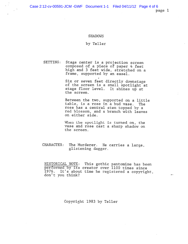Case 2:12-cv-00591-JCM -GWF Document 1-1 Filed 04/11/12 Page 4 of 6

page 1

# SHADOWS

### by Teller

SETTING: Stage center is <sup>a</sup> projection screen composed of <sup>a</sup> piece of paper 4 feet high and <sup>3</sup> feet wide, stretched on <sup>a</sup> frame, supported by an easel.

> Six or seven feet directly downstage of the screen is <sup>a</sup> small spotlight at stage floor level. It shines up at the screen.

Between the two, supported on <sup>a</sup> little table, is <sup>a</sup> rose in <sup>a</sup> bud vase. The rose has <sup>a</sup> central stem topped by <sup>a</sup> red blossom, and <sup>a</sup> branch with leaves on either side.

When the spotlight is turned on, the vase and rose cast a sharp shadow on the screen.

# CHARACTER: The Murderer. He carries <sup>a</sup> large, glistening dagger.

HISTORICAL NOTE: This gothic pantomime has been performed by its creator over 1100 times since 1976. It's about time he registered <sup>a</sup> copyright, don't you think?

Copyright 1983 by Teller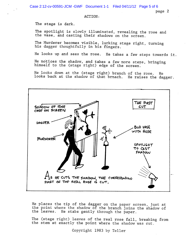Case 2:12-cv-00591-JCM -GWF Document 1-1 Filed 04/11/12 Page 5 of 6

page 2

# ACTION:

The stage is dark

The spotlight is slowly illuminated, revealing the rose and the vase, and casting their shadows on the screen.

The Murderer becomes visible, lurking stage right, turning his dagger thoughtfully in his fingers.

He looks up and sees the rose. He takes <sup>a</sup> few steps towards it.

He notices the shadow, and takes a few more steps, bringing himself to the (stage right) edge of the screen.

He looks down at the (stage right) branch of the rose. He looks back at the shadow of that brnach. He raises the dagger.



He places the tip of the dagger on the paper screen, just at the point where the shadow of the branch joins the shadow of the leaves. He stabs gently through the paper.

The (stage right) leaves of the real rose fall, breaking from the stem at exactly the point where the shadow was cut.

Copyright 1983 by Teller